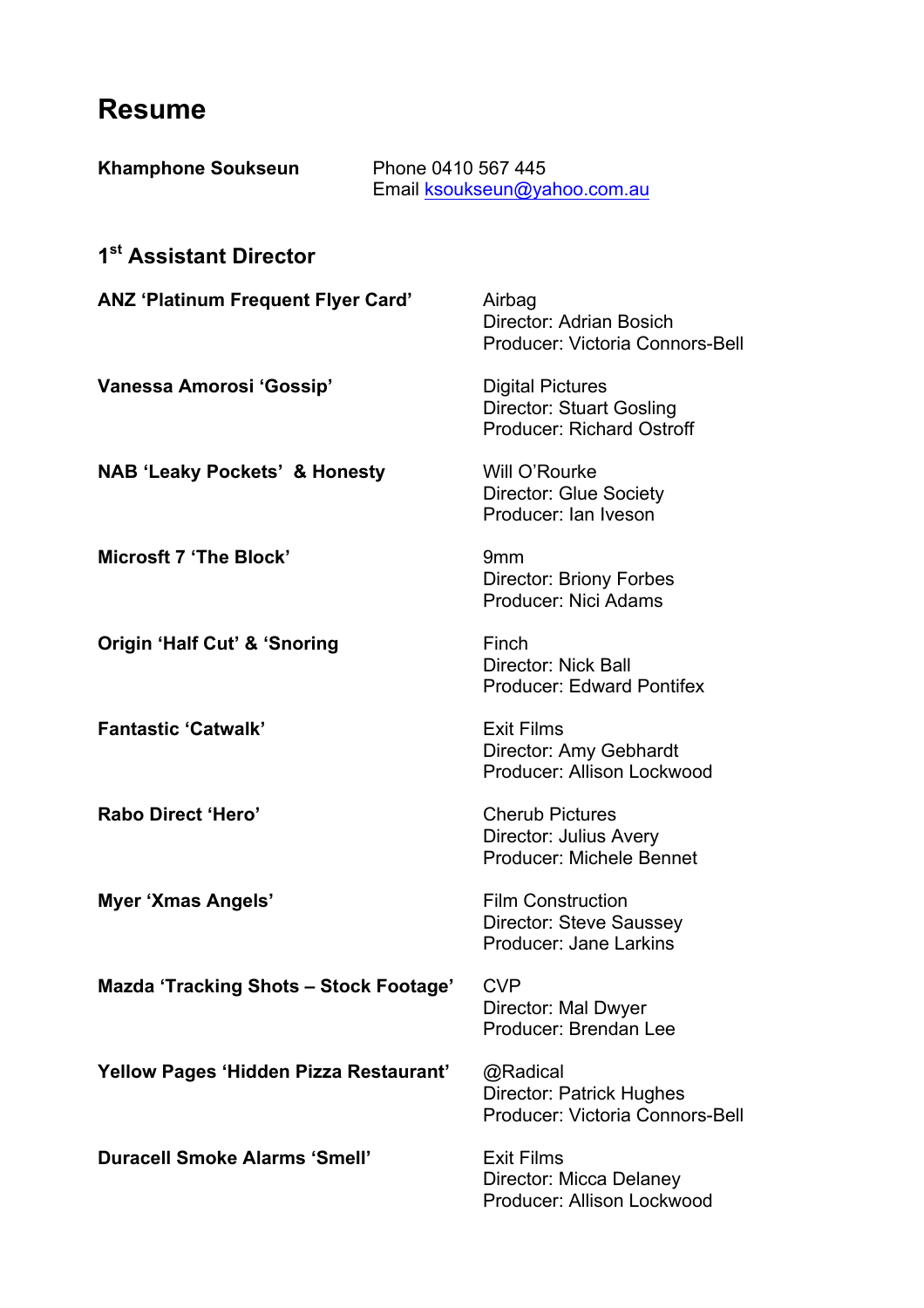## **Resume**

| <b>Khamphone Soukseun</b>                 | Phone 0410 567 445<br>Email ksoukseun@yahoo.com.au |                                                                                                |  |
|-------------------------------------------|----------------------------------------------------|------------------------------------------------------------------------------------------------|--|
| 1 <sup>st</sup> Assistant Director        |                                                    |                                                                                                |  |
| <b>ANZ 'Platinum Frequent Flyer Card'</b> |                                                    | Airbag<br>Director: Adrian Bosich<br>Producer: Victoria Connors-Bell                           |  |
| Vanessa Amorosi 'Gossip'                  |                                                    | <b>Digital Pictures</b><br><b>Director: Stuart Gosling</b><br><b>Producer: Richard Ostroff</b> |  |
| <b>NAB 'Leaky Pockets' &amp; Honesty</b>  |                                                    | Will O'Rourke<br><b>Director: Glue Society</b><br>Producer: Ian Iveson                         |  |
| <b>Microsft 7 'The Block'</b>             |                                                    | 9 <sub>mm</sub><br><b>Director: Briony Forbes</b><br>Producer: Nici Adams                      |  |
| <b>Origin 'Half Cut' &amp; 'Snoring</b>   |                                                    | Finch<br><b>Director: Nick Ball</b><br><b>Producer: Edward Pontifex</b>                        |  |
| <b>Fantastic 'Catwalk'</b>                |                                                    | <b>Exit Films</b><br>Director: Amy Gebhardt<br>Producer: Allison Lockwood                      |  |
| Rabo Direct 'Hero'                        |                                                    | <b>Cherub Pictures</b><br><b>Director: Julius Avery</b><br>Producer: Michele Bennet            |  |
| Myer 'Xmas Angels'                        |                                                    | <b>Film Construction</b><br><b>Director: Steve Saussey</b><br>Producer: Jane Larkins           |  |
| Mazda 'Tracking Shots - Stock Footage'    |                                                    | <b>CVP</b><br>Director: Mal Dwyer<br>Producer: Brendan Lee                                     |  |
| Yellow Pages 'Hidden Pizza Restaurant'    |                                                    | @Radical<br><b>Director: Patrick Hughes</b><br>Producer: Victoria Connors-Bell                 |  |
| <b>Duracell Smoke Alarms 'Smell'</b>      |                                                    | <b>Exit Films</b><br>Director: Micca Delaney<br>Producer: Allison Lockwood                     |  |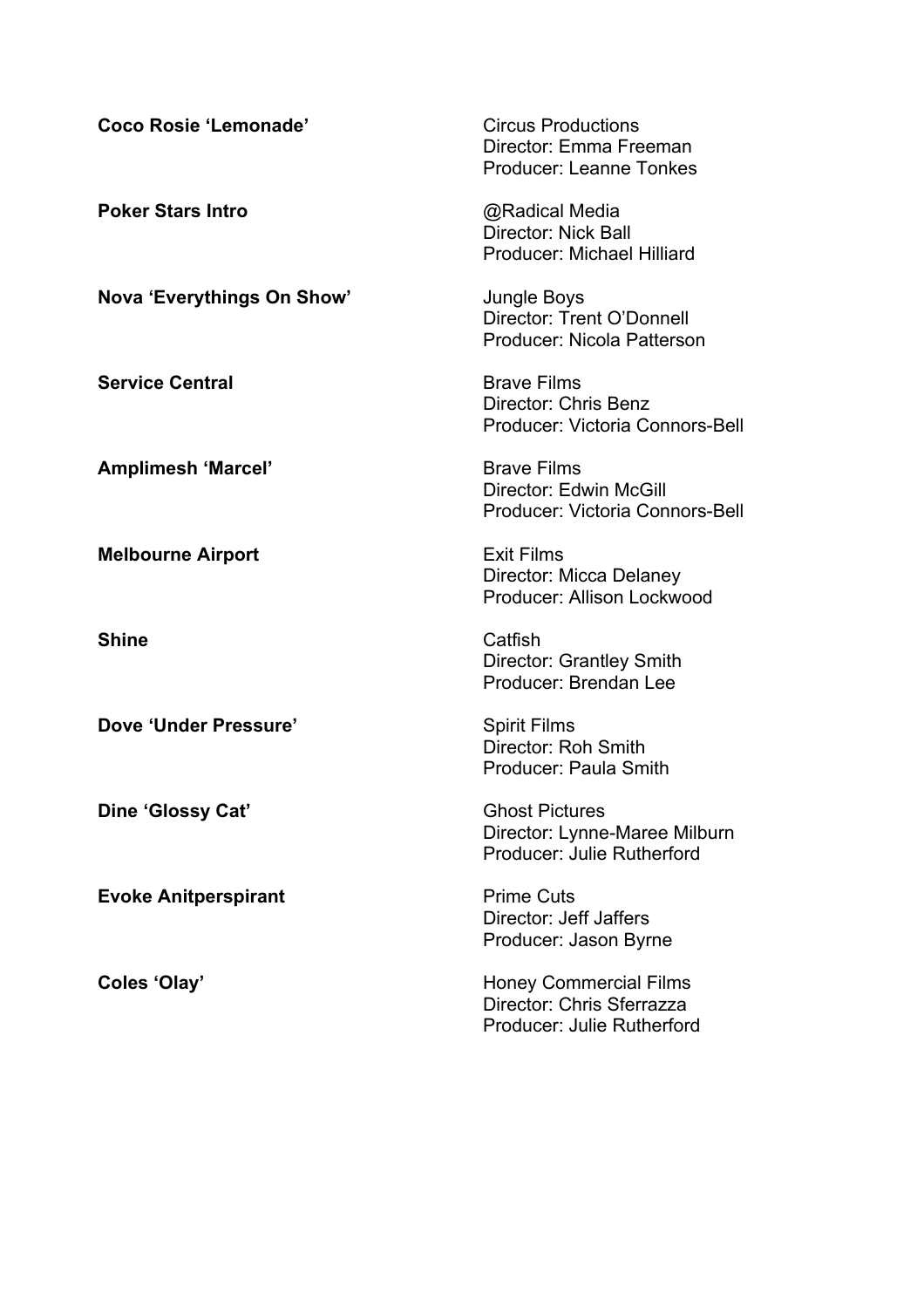| Coco Rosie 'Lemonade'       | <b>Circus Productions</b><br>Director: Emma Freeman<br><b>Producer: Leanne Tonkes</b><br>@Radical Media<br><b>Director: Nick Ball</b><br><b>Producer: Michael Hilliard</b> |  |
|-----------------------------|----------------------------------------------------------------------------------------------------------------------------------------------------------------------------|--|
| <b>Poker Stars Intro</b>    |                                                                                                                                                                            |  |
| Nova 'Everythings On Show'  | Jungle Boys<br>Director: Trent O'Donnell<br>Producer: Nicola Patterson                                                                                                     |  |
| <b>Service Central</b>      | <b>Brave Films</b><br>Director: Chris Benz<br>Producer: Victoria Connors-Bell                                                                                              |  |
| <b>Amplimesh 'Marcel'</b>   | <b>Brave Films</b><br>Director: Edwin McGill<br>Producer: Victoria Connors-Bell                                                                                            |  |
| <b>Melbourne Airport</b>    | <b>Exit Films</b><br>Director: Micca Delaney<br>Producer: Allison Lockwood                                                                                                 |  |
| <b>Shine</b>                | Catfish<br>Director: Grantley Smith<br>Producer: Brendan Lee                                                                                                               |  |
| Dove 'Under Pressure'       | <b>Spirit Films</b><br>Director: Roh Smith<br>Producer: Paula Smith                                                                                                        |  |
| Dine 'Glossy Cat'           | <b>Ghost Pictures</b><br>Director: Lynne-Maree Milburn<br>Producer: Julie Rutherford                                                                                       |  |
| <b>Evoke Anitperspirant</b> | <b>Prime Cuts</b><br>Director: Jeff Jaffers<br>Producer: Jason Byrne                                                                                                       |  |
| Coles 'Olay'                | <b>Honey Commercial Films</b><br>Director: Chris Sferrazza<br>Producer: Julie Rutherford                                                                                   |  |